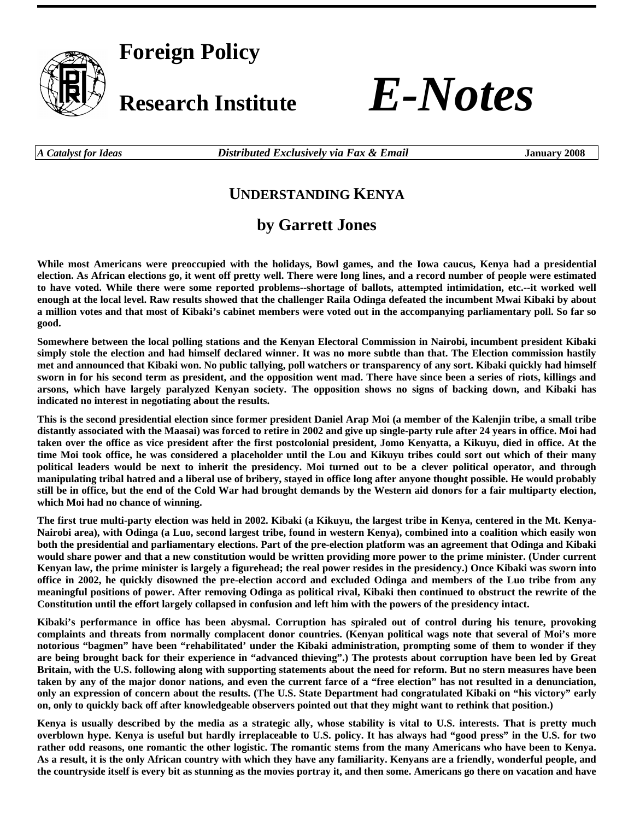

**Foreign Policy** 



*A Catalyst for Ideas Distributed Exclusively via Fax & Email* **January 2008** 

## **UNDERSTANDING KENYA**

## **by Garrett Jones**

**While most Americans were preoccupied with the holidays, Bowl games, and the Iowa caucus, Kenya had a presidential election. As African elections go, it went off pretty well. There were long lines, and a record number of people were estimated to have voted. While there were some reported problems--shortage of ballots, attempted intimidation, etc.--it worked well enough at the local level. Raw results showed that the challenger Raila Odinga defeated the incumbent Mwai Kibaki by about a million votes and that most of Kibaki's cabinet members were voted out in the accompanying parliamentary poll. So far so good.** 

**Somewhere between the local polling stations and the Kenyan Electoral Commission in Nairobi, incumbent president Kibaki simply stole the election and had himself declared winner. It was no more subtle than that. The Election commission hastily met and announced that Kibaki won. No public tallying, poll watchers or transparency of any sort. Kibaki quickly had himself sworn in for his second term as president, and the opposition went mad. There have since been a series of riots, killings and arsons, which have largely paralyzed Kenyan society. The opposition shows no signs of backing down, and Kibaki has indicated no interest in negotiating about the results.** 

**This is the second presidential election since former president Daniel Arap Moi (a member of the Kalenjin tribe, a small tribe distantly associated with the Maasai) was forced to retire in 2002 and give up single-party rule after 24 years in office. Moi had taken over the office as vice president after the first postcolonial president, Jomo Kenyatta, a Kikuyu, died in office. At the time Moi took office, he was considered a placeholder until the Lou and Kikuyu tribes could sort out which of their many political leaders would be next to inherit the presidency. Moi turned out to be a clever political operator, and through manipulating tribal hatred and a liberal use of bribery, stayed in office long after anyone thought possible. He would probably still be in office, but the end of the Cold War had brought demands by the Western aid donors for a fair multiparty election, which Moi had no chance of winning.** 

**The first true multi-party election was held in 2002. Kibaki (a Kikuyu, the largest tribe in Kenya, centered in the Mt. Kenya-Nairobi area), with Odinga (a Luo, second largest tribe, found in western Kenya), combined into a coalition which easily won both the presidential and parliamentary elections. Part of the pre-election platform was an agreement that Odinga and Kibaki would share power and that a new constitution would be written providing more power to the prime minister. (Under current Kenyan law, the prime minister is largely a figurehead; the real power resides in the presidency.) Once Kibaki was sworn into office in 2002, he quickly disowned the pre-election accord and excluded Odinga and members of the Luo tribe from any meaningful positions of power. After removing Odinga as political rival, Kibaki then continued to obstruct the rewrite of the Constitution until the effort largely collapsed in confusion and left him with the powers of the presidency intact.** 

**Kibaki's performance in office has been abysmal. Corruption has spiraled out of control during his tenure, provoking complaints and threats from normally complacent donor countries. (Kenyan political wags note that several of Moi's more notorious "bagmen" have been "rehabilitated' under the Kibaki administration, prompting some of them to wonder if they are being brought back for their experience in "advanced thieving".) The protests about corruption have been led by Great Britain, with the U.S. following along with supporting statements about the need for reform. But no stern measures have been taken by any of the major donor nations, and even the current farce of a "free election" has not resulted in a denunciation, only an expression of concern about the results. (The U.S. State Department had congratulated Kibaki on "his victory" early on, only to quickly back off after knowledgeable observers pointed out that they might want to rethink that position.)** 

**Kenya is usually described by the media as a strategic ally, whose stability is vital to U.S. interests. That is pretty much overblown hype. Kenya is useful but hardly irreplaceable to U.S. policy. It has always had "good press" in the U.S. for two rather odd reasons, one romantic the other logistic. The romantic stems from the many Americans who have been to Kenya. As a result, it is the only African country with which they have any familiarity. Kenyans are a friendly, wonderful people, and the countryside itself is every bit as stunning as the movies portray it, and then some. Americans go there on vacation and have**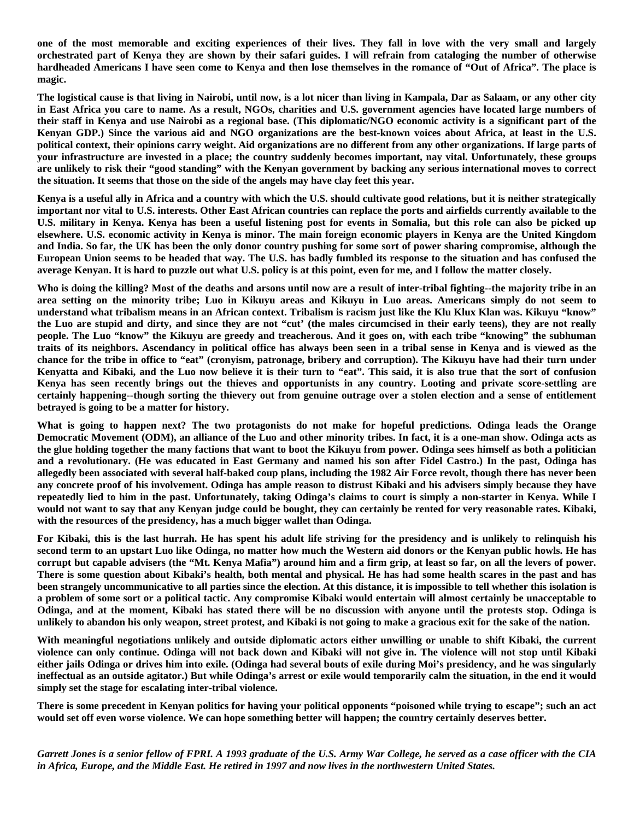**one of the most memorable and exciting experiences of their lives. They fall in love with the very small and largely orchestrated part of Kenya they are shown by their safari guides. I will refrain from cataloging the number of otherwise hardheaded Americans I have seen come to Kenya and then lose themselves in the romance of "Out of Africa". The place is magic.** 

**The logistical cause is that living in Nairobi, until now, is a lot nicer than living in Kampala, Dar as Salaam, or any other city in East Africa you care to name. As a result, NGOs, charities and U.S. government agencies have located large numbers of their staff in Kenya and use Nairobi as a regional base. (This diplomatic/NGO economic activity is a significant part of the Kenyan GDP.) Since the various aid and NGO organizations are the best-known voices about Africa, at least in the U.S. political context, their opinions carry weight. Aid organizations are no different from any other organizations. If large parts of your infrastructure are invested in a place; the country suddenly becomes important, nay vital. Unfortunately, these groups are unlikely to risk their "good standing" with the Kenyan government by backing any serious international moves to correct the situation. It seems that those on the side of the angels may have clay feet this year.** 

**Kenya is a useful ally in Africa and a country with which the U.S. should cultivate good relations, but it is neither strategically important nor vital to U.S. interests. Other East African countries can replace the ports and airfields currently available to the U.S. military in Kenya. Kenya has been a useful listening post for events in Somalia, but this role can also be picked up elsewhere. U.S. economic activity in Kenya is minor. The main foreign economic players in Kenya are the United Kingdom and India. So far, the UK has been the only donor country pushing for some sort of power sharing compromise, although the European Union seems to be headed that way. The U.S. has badly fumbled its response to the situation and has confused the average Kenyan. It is hard to puzzle out what U.S. policy is at this point, even for me, and I follow the matter closely.** 

**Who is doing the killing? Most of the deaths and arsons until now are a result of inter-tribal fighting--the majority tribe in an area setting on the minority tribe; Luo in Kikuyu areas and Kikuyu in Luo areas. Americans simply do not seem to understand what tribalism means in an African context. Tribalism is racism just like the Klu Klux Klan was. Kikuyu "know" the Luo are stupid and dirty, and since they are not "cut' (the males circumcised in their early teens), they are not really people. The Luo "know" the Kikuyu are greedy and treacherous. And it goes on, with each tribe "knowing" the subhuman traits of its neighbors. Ascendancy in political office has always been seen in a tribal sense in Kenya and is viewed as the chance for the tribe in office to "eat" (cronyism, patronage, bribery and corruption). The Kikuyu have had their turn under Kenyatta and Kibaki, and the Luo now believe it is their turn to "eat". This said, it is also true that the sort of confusion Kenya has seen recently brings out the thieves and opportunists in any country. Looting and private score-settling are certainly happening--though sorting the thievery out from genuine outrage over a stolen election and a sense of entitlement betrayed is going to be a matter for history.** 

**What is going to happen next? The two protagonists do not make for hopeful predictions. Odinga leads the Orange Democratic Movement (ODM), an alliance of the Luo and other minority tribes. In fact, it is a one-man show. Odinga acts as the glue holding together the many factions that want to boot the Kikuyu from power. Odinga sees himself as both a politician and a revolutionary. (He was educated in East Germany and named his son after Fidel Castro.) In the past, Odinga has allegedly been associated with several half-baked coup plans, including the 1982 Air Force revolt, though there has never been any concrete proof of his involvement. Odinga has ample reason to distrust Kibaki and his advisers simply because they have repeatedly lied to him in the past. Unfortunately, taking Odinga's claims to court is simply a non-starter in Kenya. While I would not want to say that any Kenyan judge could be bought, they can certainly be rented for very reasonable rates. Kibaki, with the resources of the presidency, has a much bigger wallet than Odinga.** 

**For Kibaki, this is the last hurrah. He has spent his adult life striving for the presidency and is unlikely to relinquish his second term to an upstart Luo like Odinga, no matter how much the Western aid donors or the Kenyan public howls. He has corrupt but capable advisers (the "Mt. Kenya Mafia") around him and a firm grip, at least so far, on all the levers of power. There is some question about Kibaki's health, both mental and physical. He has had some health scares in the past and has been strangely uncommunicative to all parties since the election. At this distance, it is impossible to tell whether this isolation is a problem of some sort or a political tactic. Any compromise Kibaki would entertain will almost certainly be unacceptable to Odinga, and at the moment, Kibaki has stated there will be no discussion with anyone until the protests stop. Odinga is unlikely to abandon his only weapon, street protest, and Kibaki is not going to make a gracious exit for the sake of the nation.** 

**With meaningful negotiations unlikely and outside diplomatic actors either unwilling or unable to shift Kibaki, the current violence can only continue. Odinga will not back down and Kibaki will not give in. The violence will not stop until Kibaki either jails Odinga or drives him into exile. (Odinga had several bouts of exile during Moi's presidency, and he was singularly ineffectual as an outside agitator.) But while Odinga's arrest or exile would temporarily calm the situation, in the end it would simply set the stage for escalating inter-tribal violence.** 

**There is some precedent in Kenyan politics for having your political opponents "poisoned while trying to escape"; such an act would set off even worse violence. We can hope something better will happen; the country certainly deserves better.** 

*Garrett Jones is a senior fellow of FPRI. A 1993 graduate of the U.S. Army War College, he served as a case officer with the CIA in Africa, Europe, and the Middle East. He retired in 1997 and now lives in the northwestern United States.*